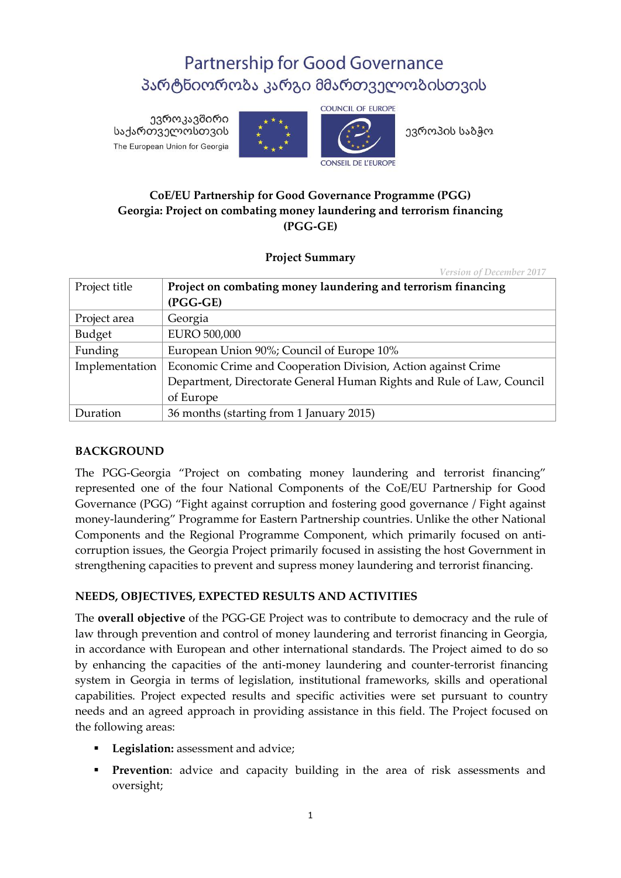# **Partnership for Good Governance** პარტნიორობა კარგი მმართველობისთვის

ევროკავშირი საქართველოსთვის The European Union for Georgia





ევროპის საბჭო

## **CoE/EU Partnership for Good Governance Programme (PGG) Georgia: Project on combating money laundering and terrorism financing (PGG-GE)**

**Project Summary**

*Version of December 2017*

| Project title  | Project on combating money laundering and terrorism financing         |
|----------------|-----------------------------------------------------------------------|
|                | (PGG-GE)                                                              |
| Project area   | Georgia                                                               |
| Budget         | <b>EURO 500,000</b>                                                   |
| Funding        | European Union 90%; Council of Europe 10%                             |
| Implementation | Economic Crime and Cooperation Division, Action against Crime         |
|                | Department, Directorate General Human Rights and Rule of Law, Council |
|                | of Europe                                                             |
| Duration       | 36 months (starting from 1 January 2015)                              |

#### **BACKGROUND**

The PGG-Georgia "Project on combating money laundering and terrorist financing" represented one of the four National Components of the CoE/EU Partnership for Good Governance (PGG) "Fight against corruption and fostering good governance / Fight against money-laundering" Programme for Eastern Partnership countries. Unlike the other National Components and the Regional Programme Component, which primarily focused on anticorruption issues, the Georgia Project primarily focused in assisting the host Government in strengthening capacities to prevent and supress money laundering and terrorist financing.

## **NEEDS, OBJECTIVES, EXPECTED RESULTS AND ACTIVITIES**

The **overall objective** of the PGG-GE Project was to contribute to democracy and the rule of law through prevention and control of money laundering and terrorist financing in Georgia, in accordance with European and other international standards. The Project aimed to do so by enhancing the capacities of the anti-money laundering and counter-terrorist financing system in Georgia in terms of legislation, institutional frameworks, skills and operational capabilities. Project expected results and specific activities were set pursuant to country needs and an agreed approach in providing assistance in this field. The Project focused on the following areas:

- **Legislation:** assessment and advice;
- **Prevention**: advice and capacity building in the area of risk assessments and oversight;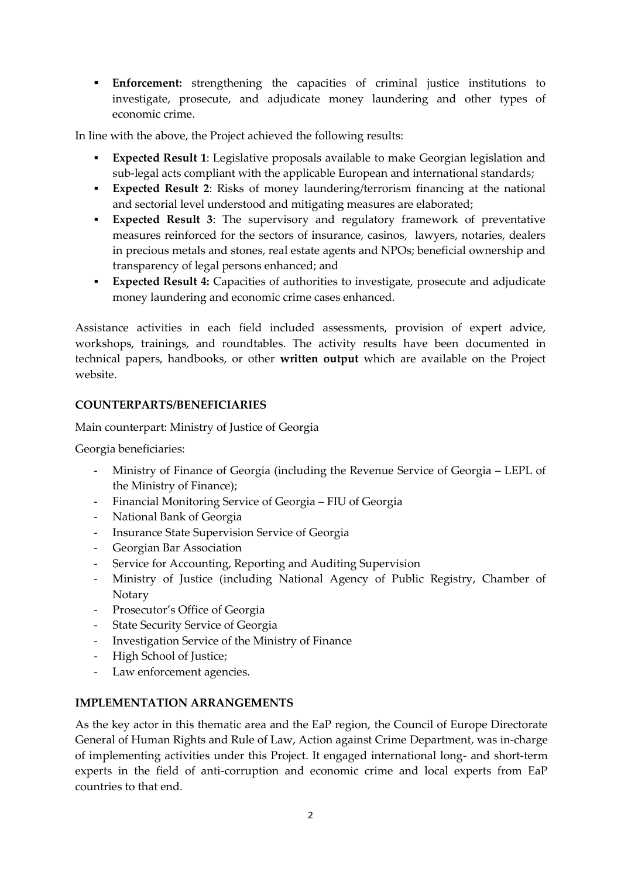**Enforcement:** strengthening the capacities of criminal justice institutions to investigate, prosecute, and adjudicate money laundering and other types of economic crime.

In line with the above, the Project achieved the following results:

- **Expected Result 1**: Legislative proposals available to make Georgian legislation and sub-legal acts compliant with the applicable European and international standards;
- **Expected Result 2**: Risks of money laundering/terrorism financing at the national and sectorial level understood and mitigating measures are elaborated;
- **Expected Result 3**: The supervisory and regulatory framework of preventative measures reinforced for the sectors of insurance, casinos, lawyers, notaries, dealers in precious metals and stones, real estate agents and NPOs; beneficial ownership and transparency of legal persons enhanced; and
- **Expected Result 4:** Capacities of authorities to investigate, prosecute and adjudicate money laundering and economic crime cases enhanced.

Assistance activities in each field included assessments, provision of expert advice, workshops, trainings, and roundtables. The activity results have been documented in technical papers, handbooks, or other **written output** which are available on the Project website.

## **COUNTERPARTS/BENEFICIARIES**

Main counterpart: Ministry of Justice of Georgia

Georgia beneficiaries:

- Ministry of Finance of Georgia (including the Revenue Service of Georgia LEPL of the Ministry of Finance);
- Financial Monitoring Service of Georgia FIU of Georgia
- National Bank of Georgia
- Insurance State Supervision Service of Georgia
- Georgian Bar Association
- Service for Accounting, Reporting and Auditing Supervision
- Ministry of Justice (including National Agency of Public Registry, Chamber of **Notary**
- Prosecutor's Office of Georgia
- State Security Service of Georgia
- Investigation Service of the Ministry of Finance
- High School of Justice;
- Law enforcement agencies.

#### **IMPLEMENTATION ARRANGEMENTS**

As the key actor in this thematic area and the EaP region, the Council of Europe Directorate General of Human Rights and Rule of Law, Action against Crime Department, was in-charge of implementing activities under this Project. It engaged international long- and short-term experts in the field of anti-corruption and economic crime and local experts from EaP countries to that end.